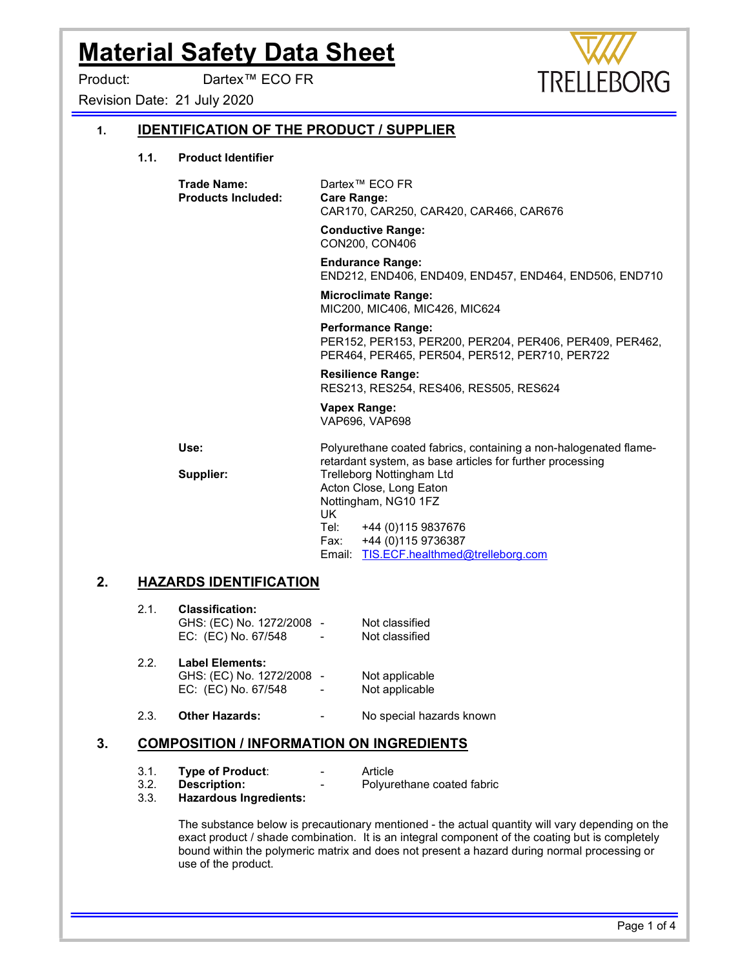Product: Dartex™ ECO FR

Revision Date: 21 July 2020

# 1. IDENTIFICATION OF THE PRODUCT / SUPPLIER

1.1. Product Identifier

 Trade Name: Dartex™ ECO FR Products Included: Care Range: CAR170, CAR250, CAR420, CAR466, CAR676

> Conductive Range: CON200, CON406

 Endurance Range: END212, END406, END409, END457, END464, END506, END710

**TRELI** 

EBORG

 Microclimate Range: MIC200, MIC406, MIC426, MIC624

Performance Range:

 PER152, PER153, PER200, PER204, PER406, PER409, PER462, PER464, PER465, PER504, PER512, PER710, PER722

 Resilience Range: RES213, RES254, RES406, RES505, RES624

# Vapex Range:

VAP696, VAP698

Use: example in the Polyurethane coated fabrics, containing a non-halogenated flameretardant system, as base articles for further processing Supplier: Trelleborg Nottingham Ltd Acton Close, Long Eaton Nottingham, NG10 1FZ **UK**  Tel: +44 (0)115 9837676 Fax: +44 (0)115 9736387 Email: TIS.ECF.healthmed@trelleborg.com

### 2. HAZARDS IDENTIFICATION

| 2.1. | <b>Classification:</b>    |                          |                |  |  |  |
|------|---------------------------|--------------------------|----------------|--|--|--|
|      | GHS: (EC) No. 1272/2008 - |                          | Not classified |  |  |  |
|      | EC: (EC) No. 67/548       | $\overline{\phantom{a}}$ | Not classified |  |  |  |

2.2. Label Elements: GHS: (EC) No. 1272/2008 - Not applicable EC: (EC) No. 67/548 - Not applicable

2.3. Other Hazards: The State of No special hazards known

### 3. COMPOSITION / INFORMATION ON INGREDIENTS

3.1. **Type of Product:** Type **-** Article

3.2. **Description:** - Polyurethane coated fabric

3.3. Hazardous Ingredients:

 The substance below is precautionary mentioned - the actual quantity will vary depending on the exact product / shade combination. It is an integral component of the coating but is completely bound within the polymeric matrix and does not present a hazard during normal processing or use of the product.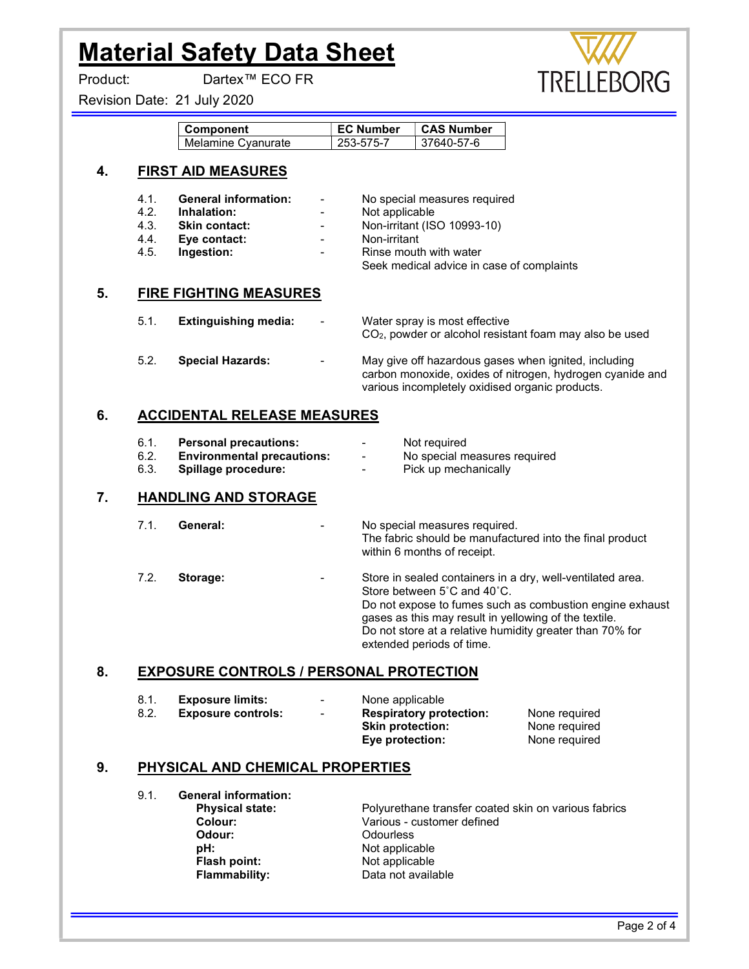#### Product: Dartex™ ECO FR

Revision Date: 21 July 2020

| WW         |
|------------|
| TRELLEBORG |

| Component          | <b>EC Number</b> | <b>CAS Number</b> |
|--------------------|------------------|-------------------|
| Melamine Cyanurate | 253-575-7        | 37640-57-6        |

#### 4. FIRST AID MEASURES

- 
- 4.2. **Inhalation:** Physical Physical Physical Physical Physical Physical Physical Physical Physical Physical Physical Physical Physical Physical Physical Physical Physical Physical Physical Physical Physical Physical Physi
- 
- 4.4. Eye contact: The Contact Contact Contact Contact Contact Contact Contact Contact Contact Contact Contact Contact Contact Contact Contact Contact Contact Contact Contact Contact Contact Contact Contact Contact Contact
- 4.5. Ingestion: The Contract Latin Contract Point Rinse mouth with water
- 4.1. **General information:** No special measures required
	-
- 4.3. **Skin contact:**  $\qquad \qquad -$  Non-irritant (ISO 10993-10)
	-

Seek medical advice in case of complaints

## 5. FIRE FIGHTING MEASURES

| 5.1. | Extinguishing media:    | $\sim$ | Water spray is most effective<br>$CO2$ , powder or alcohol resistant foam may also be used                                                                           |
|------|-------------------------|--------|----------------------------------------------------------------------------------------------------------------------------------------------------------------------|
| 5.2. | <b>Special Hazards:</b> | $\sim$ | May give off hazardous gases when ignited, including<br>carbon monoxide, oxides of nitrogen, hydrogen cyanide and<br>various incompletely oxidised organic products. |

## 6. ACCIDENTAL RELEASE MEASURES

6.1. **Personal precautions:** The Real Property of the Not required 6.2. **Environmental precautions:** - No special measures required 6.3. Spillage procedure: The Contract Pick up mechanically

# 7. HANDLING AND STORAGE

| 7.1. | General: | No special measures required.<br>The fabric should be manufactured into the final product<br>within 6 months of receipt.                                                                                                                                                                                |
|------|----------|---------------------------------------------------------------------------------------------------------------------------------------------------------------------------------------------------------------------------------------------------------------------------------------------------------|
| 7.2. | Storage: | Store in sealed containers in a dry, well-ventilated area.<br>Store between 5°C and 40°C.<br>Do not expose to fumes such as combustion engine exhaust<br>gases as this may result in yellowing of the textile.<br>Do not store at a relative humidity greater than 70% for<br>extended periods of time. |

# 8. EXPOSURE CONTROLS / PERSONAL PROTECTION

| -8.1. | Exposure limits:          | $\sim$ | None applicable                |               |
|-------|---------------------------|--------|--------------------------------|---------------|
| 8.2.  | <b>Exposure controls:</b> | $\sim$ | <b>Respiratory protection:</b> | None required |
|       |                           |        | <b>Skin protection:</b>        | None required |
|       |                           |        | Eye protection:                | None required |

### 9. PHYSICAL AND CHEMICAL PROPERTIES

9.1. General information: pH: <br>
Flash point: Not applicable<br>
Not applicable Flammability: Data not available

**Physical state:** Polyurethane transfer coated skin on various fabrics<br>
Colour: Various - customer defined Colour: Various - customer defined Odourless Not applicable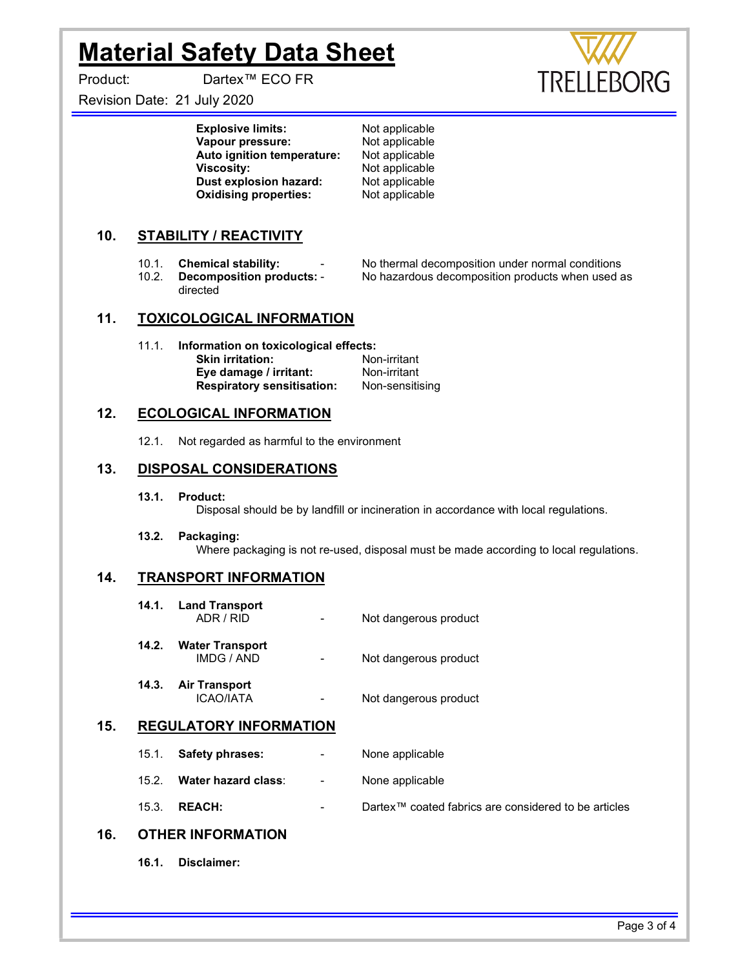Product: Dartex™ ECO FR

Revision Date: 21 July 2020

**Explosive limits:** Not applicable Vapour pressure: Not applicable<br>
Auto ignition temperature: Not applicable Auto ignition temperature: Viscosity: Not applicable<br>
Dust explosion hazard: Not applicable Dust explosion hazard: Oxidising properties: Not applicable

## 10. STABILITY / REACTIVITY

directed

- -

10.1. **Chemical stability:** - No thermal decomposition under normal conditions<br>10.2. **Decomposition products:** - No hazardous decomposition products when used a **Decomposition products: -** No hazardous decomposition products when used as

#### 11. TOXICOLOGICAL INFORMATION

11.1. Information on toxicological effects: Skin irritation: Non-irritant<br>
Eve damage / irritant: Non-irritant Eye damage / irritant: Respiratory sensitisation: Non-sensitising

#### 12. ECOLOGICAL INFORMATION

12.1. Not regarded as harmful to the environment

#### 13. DISPOSAL CONSIDERATIONS

13.1. Product:

Disposal should be by landfill or incineration in accordance with local regulations.

13.2. Packaging:

Where packaging is not re-used, disposal must be made according to local regulations.

#### 14. TRANSPORT INFORMATION

|       | 14.1. Land Transport<br>ADR / RID       | Not dangerous product |
|-------|-----------------------------------------|-----------------------|
| 14.2. | <b>Water Transport</b><br>IMDG / AND    | Not dangerous product |
|       | 14.3. Air Transport<br><b>ICAO/IATA</b> | Not dangerous product |

#### 15. REGULATORY INFORMATION

- 15.1. Safety phrases: The Cone applicable
- 15.2. Water hazard class: None applicable
- 15.3. REACH: Dartex™ coated fabrics are considered to be articles

### 16. OTHER INFORMATION

16.1. Disclaimer: